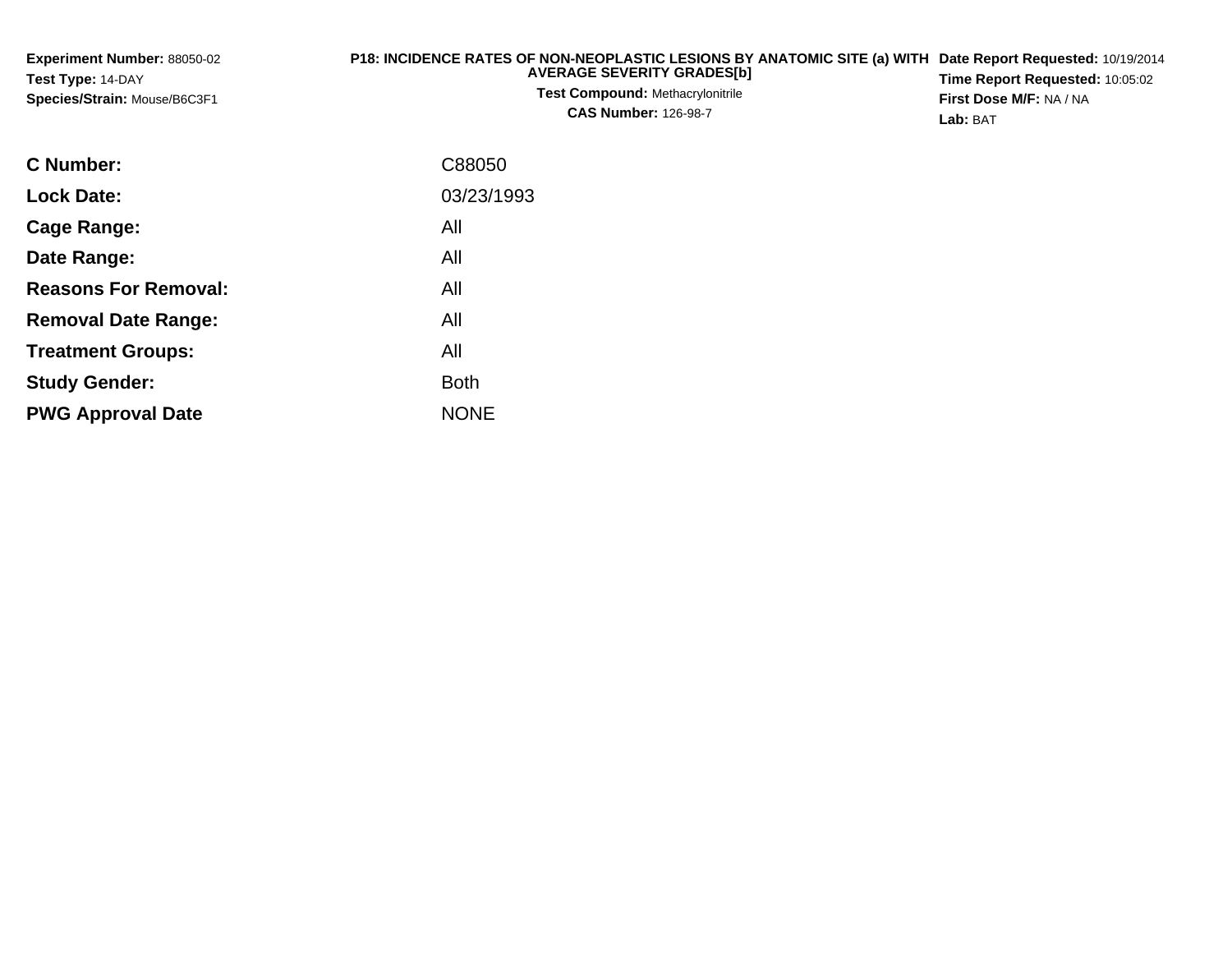| <b>Experiment Number: 88050-02</b> | P18: INCIDENCE RATES OF NON-NEOPLASTIC LESIONS BY ANATOMIC SITE (a) WITH Date Report Requested: 10/19/2014 |                                        |
|------------------------------------|------------------------------------------------------------------------------------------------------------|----------------------------------------|
| Test Type: 14-DAY                  | <b>AVERAGE SEVERITY GRADES[b]</b>                                                                          | <b>Time Report Requested: 10:05:02</b> |
| Species/Strain: Mouse/B6C3F1       | <b>Test Compound: Methacrylonitrile</b><br><b>CAS Number: 126-98-7</b>                                     | <b>First Dose M/F: NA / NA</b>         |
|                                    |                                                                                                            | Lab: BAT                               |

| <b>C</b> Number:            | C88050      |
|-----------------------------|-------------|
| <b>Lock Date:</b>           | 03/23/1993  |
| Cage Range:                 | All         |
| Date Range:                 | All         |
| <b>Reasons For Removal:</b> | All         |
| <b>Removal Date Range:</b>  | All         |
| <b>Treatment Groups:</b>    | All         |
| <b>Study Gender:</b>        | <b>Both</b> |
| <b>PWG Approval Date</b>    | <b>NONE</b> |
|                             |             |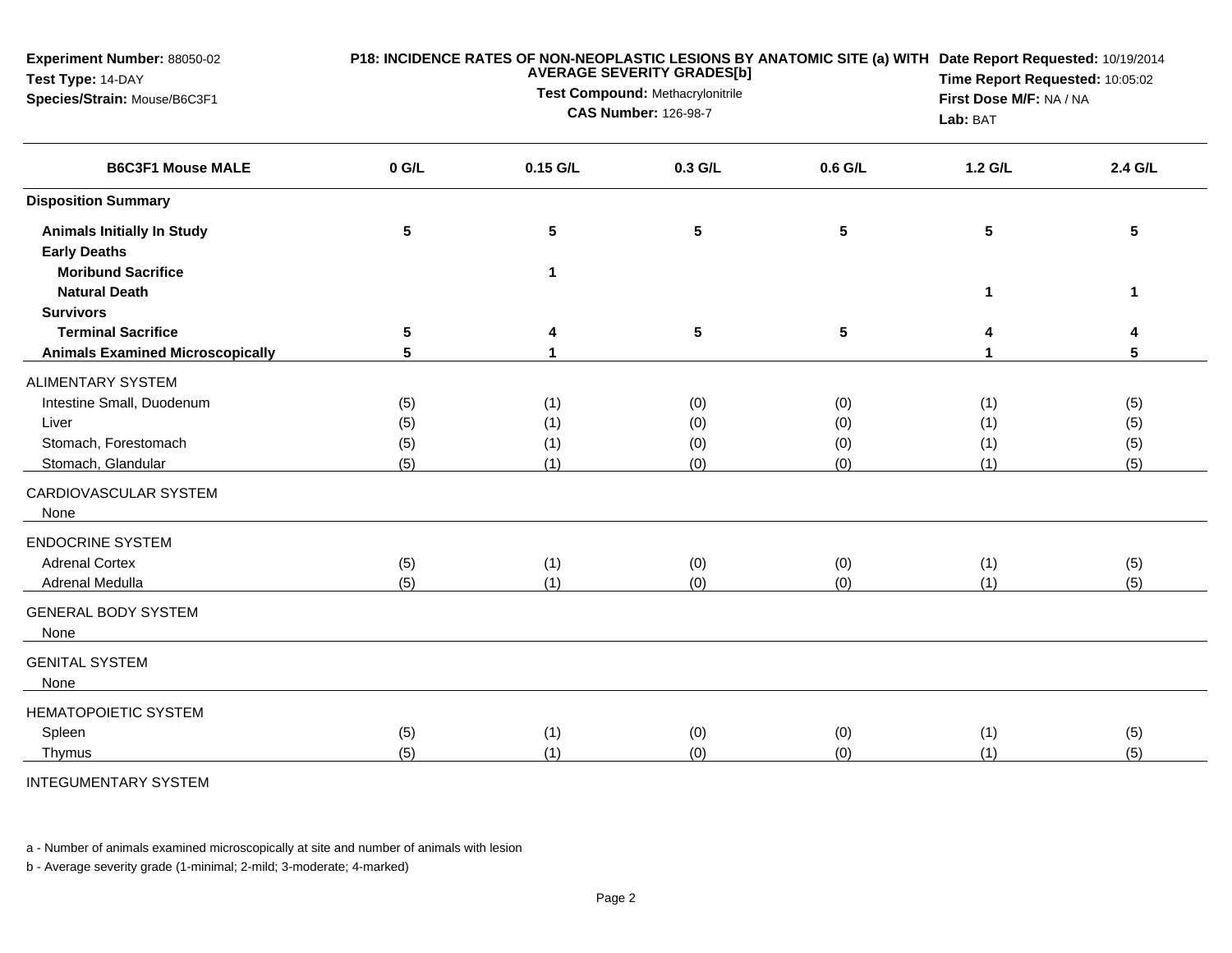| Experiment Number: 88050-02<br>Test Type: 14-DAY<br>Species/Strain: Mouse/B6C3F1 | P18: INCIDENCE RATES OF NON-NEOPLASTIC LESIONS BY ANATOMIC SITE (a) WITH Date Report Requested: 10/19/2014<br><b>AVERAGE SEVERITY GRADES[b]</b><br>Test Compound: Methacrylonitrile<br><b>CAS Number: 126-98-7</b> |                 |                 |         | Time Report Requested: 10:05:02<br>First Dose M/F: NA / NA<br>Lab: BAT |             |
|----------------------------------------------------------------------------------|--------------------------------------------------------------------------------------------------------------------------------------------------------------------------------------------------------------------|-----------------|-----------------|---------|------------------------------------------------------------------------|-------------|
| <b>B6C3F1 Mouse MALE</b>                                                         | $0$ G/L                                                                                                                                                                                                            | $0.15$ G/L      | 0.3 G/L         | 0.6 G/L | $1.2$ G/L                                                              | 2.4 G/L     |
| <b>Disposition Summary</b>                                                       |                                                                                                                                                                                                                    |                 |                 |         |                                                                        |             |
| <b>Animals Initially In Study</b><br><b>Early Deaths</b>                         | 5                                                                                                                                                                                                                  | $5\phantom{.0}$ | 5               | 5       | 5                                                                      | 5           |
| <b>Moribund Sacrifice</b><br><b>Natural Death</b><br><b>Survivors</b>            |                                                                                                                                                                                                                    | $\mathbf 1$     |                 |         | 1                                                                      | $\mathbf 1$ |
| <b>Terminal Sacrifice</b><br><b>Animals Examined Microscopically</b>             | 5<br>5                                                                                                                                                                                                             |                 | $5\phantom{.0}$ | 5       |                                                                        | 4<br>5      |
| <b>ALIMENTARY SYSTEM</b>                                                         |                                                                                                                                                                                                                    |                 |                 |         |                                                                        |             |
| Intestine Small, Duodenum                                                        | (5)                                                                                                                                                                                                                | (1)             | (0)             | (0)     | (1)                                                                    | (5)         |
| Liver                                                                            | (5)                                                                                                                                                                                                                | (1)             | (0)             | (0)     | (1)                                                                    | (5)         |
| Stomach, Forestomach                                                             | (5)                                                                                                                                                                                                                | (1)             | (0)             | (0)     | (1)                                                                    | (5)         |
| Stomach, Glandular                                                               | (5)                                                                                                                                                                                                                | (1)             | (0)             | (0)     | (1)                                                                    | (5)         |
| CARDIOVASCULAR SYSTEM<br>None                                                    |                                                                                                                                                                                                                    |                 |                 |         |                                                                        |             |
| <b>ENDOCRINE SYSTEM</b>                                                          |                                                                                                                                                                                                                    |                 |                 |         |                                                                        |             |
| <b>Adrenal Cortex</b>                                                            | (5)                                                                                                                                                                                                                | (1)             | (0)             | (0)     | (1)                                                                    | (5)         |
| Adrenal Medulla                                                                  | (5)                                                                                                                                                                                                                | (1)             | (0)             | (0)     | (1)                                                                    | (5)         |
| <b>GENERAL BODY SYSTEM</b><br>None                                               |                                                                                                                                                                                                                    |                 |                 |         |                                                                        |             |
| <b>GENITAL SYSTEM</b><br>None                                                    |                                                                                                                                                                                                                    |                 |                 |         |                                                                        |             |
| <b>HEMATOPOIETIC SYSTEM</b>                                                      |                                                                                                                                                                                                                    |                 |                 |         |                                                                        |             |
| Spleen                                                                           | (5)                                                                                                                                                                                                                | (1)             | (0)             | (0)     | (1)                                                                    | (5)         |
| Thymus                                                                           | (5)                                                                                                                                                                                                                | (1)             | (0)             | (0)     | (1)                                                                    | (5)         |

INTEGUMENTARY SYSTEM

a - Number of animals examined microscopically at site and number of animals with lesion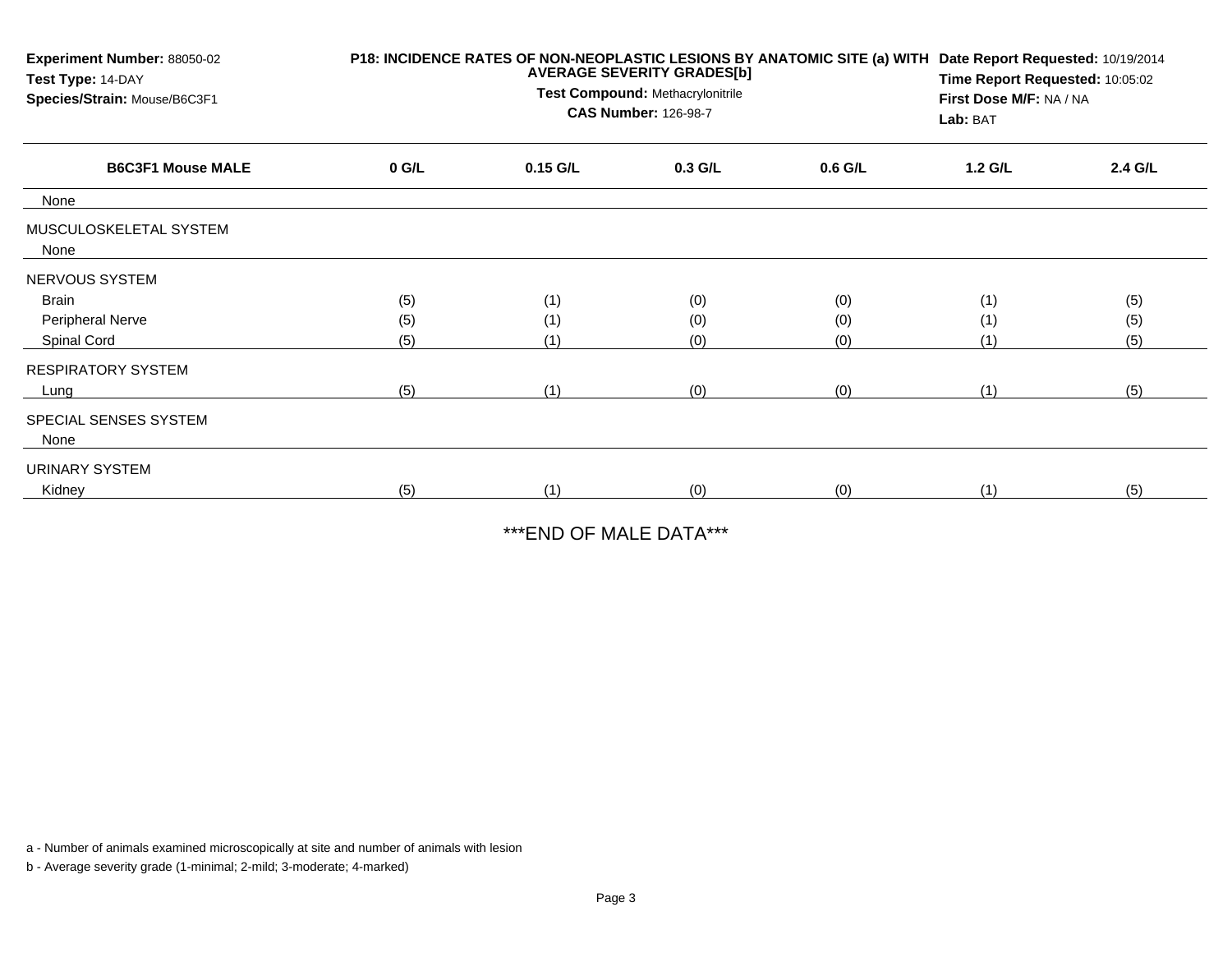| Experiment Number: 88050-02<br>Test Type: 14-DAY<br>Species/Strain: Mouse/B6C3F1 | P18: INCIDENCE RATES OF NON-NEOPLASTIC LESIONS BY ANATOMIC SITE (a) WITH<br><b>AVERAGE SEVERITY GRADES[b]</b><br>Test Compound: Methacrylonitrile<br><b>CAS Number: 126-98-7</b> |            |           |           | Date Report Requested: 10/19/2014<br>Time Report Requested: 10:05:02<br>First Dose M/F: NA / NA<br>Lab: BAT |         |  |
|----------------------------------------------------------------------------------|----------------------------------------------------------------------------------------------------------------------------------------------------------------------------------|------------|-----------|-----------|-------------------------------------------------------------------------------------------------------------|---------|--|
| <b>B6C3F1 Mouse MALE</b>                                                         | $0$ G/L                                                                                                                                                                          | $0.15$ G/L | $0.3$ G/L | $0.6$ G/L | 1.2 G/L                                                                                                     | 2.4 G/L |  |
| None                                                                             |                                                                                                                                                                                  |            |           |           |                                                                                                             |         |  |
| MUSCULOSKELETAL SYSTEM<br>None                                                   |                                                                                                                                                                                  |            |           |           |                                                                                                             |         |  |
| NERVOUS SYSTEM                                                                   |                                                                                                                                                                                  |            |           |           |                                                                                                             |         |  |
| <b>Brain</b>                                                                     | (5)                                                                                                                                                                              | (1)        | (0)       | (0)       | (1)                                                                                                         | (5)     |  |
| <b>Peripheral Nerve</b>                                                          | (5)                                                                                                                                                                              | (1)        | (0)       | (0)       | (1)                                                                                                         | (5)     |  |
| Spinal Cord                                                                      | (5)                                                                                                                                                                              | (1)        | (0)       | (0)       | (1)                                                                                                         | (5)     |  |
| <b>RESPIRATORY SYSTEM</b>                                                        |                                                                                                                                                                                  |            |           |           |                                                                                                             |         |  |
| Lung                                                                             | (5)                                                                                                                                                                              | (1)        | (0)       | (0)       | (1)                                                                                                         | (5)     |  |
| SPECIAL SENSES SYSTEM<br>None                                                    |                                                                                                                                                                                  |            |           |           |                                                                                                             |         |  |
| URINARY SYSTEM                                                                   |                                                                                                                                                                                  |            |           |           |                                                                                                             |         |  |
| Kidney                                                                           | (5)                                                                                                                                                                              | (1)        | (0)       | (0)       | (1)                                                                                                         | (5)     |  |

\*\*\*END OF MALE DATA\*\*\*

a - Number of animals examined microscopically at site and number of animals with lesion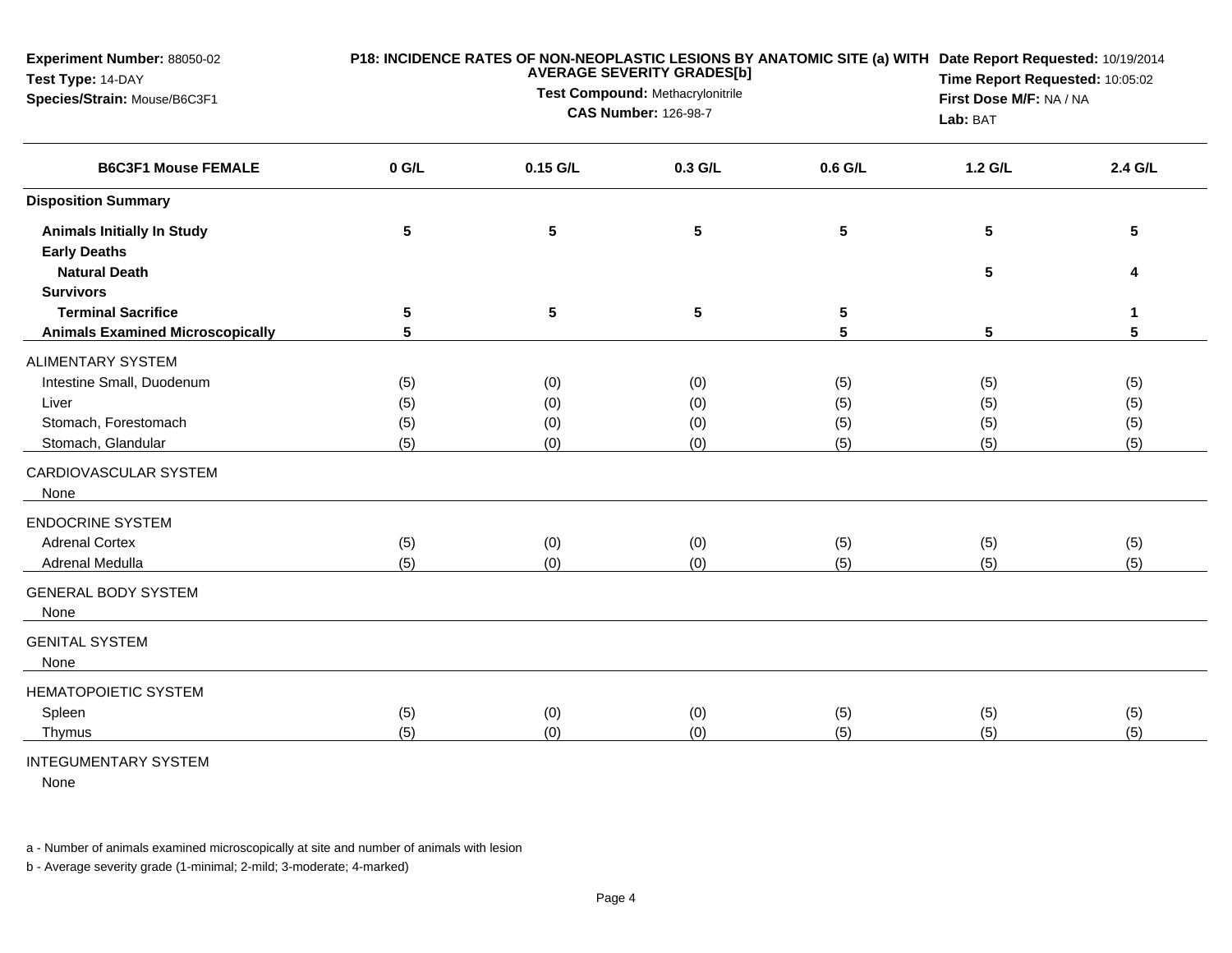| Experiment Number: 88050-02<br>Test Type: 14-DAY           |           |                                     | <b>AVERAGE SEVERITY GRADES[b]</b><br>Test Compound: Methacrylonitrile |                 | P18: INCIDENCE RATES OF NON-NEOPLASTIC LESIONS BY ANATOMIC SITE (a) WITH Date Report Requested: 10/19/2014<br>Time Report Requested: 10:05:02 |         |  |  |
|------------------------------------------------------------|-----------|-------------------------------------|-----------------------------------------------------------------------|-----------------|-----------------------------------------------------------------------------------------------------------------------------------------------|---------|--|--|
| Species/Strain: Mouse/B6C3F1<br><b>B6C3F1 Mouse FEMALE</b> |           | First Dose M/F: NA / NA<br>Lab: BAT |                                                                       |                 |                                                                                                                                               |         |  |  |
|                                                            | $0$ G/L   | 0.15 G/L                            | 0.3 G/L                                                               | 0.6 G/L         | 1.2 G/L                                                                                                                                       | 2.4 G/L |  |  |
| <b>Disposition Summary</b>                                 |           |                                     |                                                                       |                 |                                                                                                                                               |         |  |  |
| <b>Animals Initially In Study</b>                          | ${\bf 5}$ | ${\bf 5}$                           | ${\bf 5}$                                                             | $5\phantom{.0}$ | 5                                                                                                                                             | 5       |  |  |
| <b>Early Deaths</b><br><b>Natural Death</b>                |           |                                     |                                                                       |                 | 5                                                                                                                                             | 4       |  |  |
| <b>Survivors</b>                                           |           |                                     |                                                                       |                 |                                                                                                                                               |         |  |  |
| <b>Terminal Sacrifice</b>                                  | 5         | $5\phantom{.0}$                     | ${\bf 5}$                                                             | 5               |                                                                                                                                               | 1       |  |  |
| <b>Animals Examined Microscopically</b>                    | 5         |                                     |                                                                       | 5               | 5                                                                                                                                             | 5       |  |  |
| ALIMENTARY SYSTEM                                          |           |                                     |                                                                       |                 |                                                                                                                                               |         |  |  |
| Intestine Small, Duodenum                                  | (5)       | (0)                                 | (0)                                                                   | (5)             | (5)                                                                                                                                           | (5)     |  |  |
| Liver                                                      | (5)       | (0)                                 | (0)                                                                   | (5)             | (5)                                                                                                                                           | (5)     |  |  |
| Stomach, Forestomach                                       | (5)       | (0)                                 | (0)                                                                   | (5)             | (5)                                                                                                                                           | (5)     |  |  |
| Stomach, Glandular                                         | (5)       | (0)                                 | (0)                                                                   | (5)             | (5)                                                                                                                                           | (5)     |  |  |
| CARDIOVASCULAR SYSTEM<br>None                              |           |                                     |                                                                       |                 |                                                                                                                                               |         |  |  |
| <b>ENDOCRINE SYSTEM</b>                                    |           |                                     |                                                                       |                 |                                                                                                                                               |         |  |  |
| <b>Adrenal Cortex</b>                                      | (5)       | (0)                                 | (0)                                                                   | (5)             | (5)                                                                                                                                           | (5)     |  |  |
| Adrenal Medulla                                            | (5)       | (0)                                 | (0)                                                                   | (5)             | (5)                                                                                                                                           | (5)     |  |  |
| <b>GENERAL BODY SYSTEM</b><br>None                         |           |                                     |                                                                       |                 |                                                                                                                                               |         |  |  |
| <b>GENITAL SYSTEM</b><br>None                              |           |                                     |                                                                       |                 |                                                                                                                                               |         |  |  |
| HEMATOPOIETIC SYSTEM                                       |           |                                     |                                                                       |                 |                                                                                                                                               |         |  |  |
| Spleen                                                     | (5)       | (0)                                 | (0)                                                                   | (5)             | (5)                                                                                                                                           | (5)     |  |  |
| Thymus                                                     | (5)       | (0)                                 | (0)                                                                   | (5)             | (5)                                                                                                                                           | (5)     |  |  |
| <b>INTEGUMENTARY SYSTEM</b>                                |           |                                     |                                                                       |                 |                                                                                                                                               |         |  |  |

None

a - Number of animals examined microscopically at site and number of animals with lesion